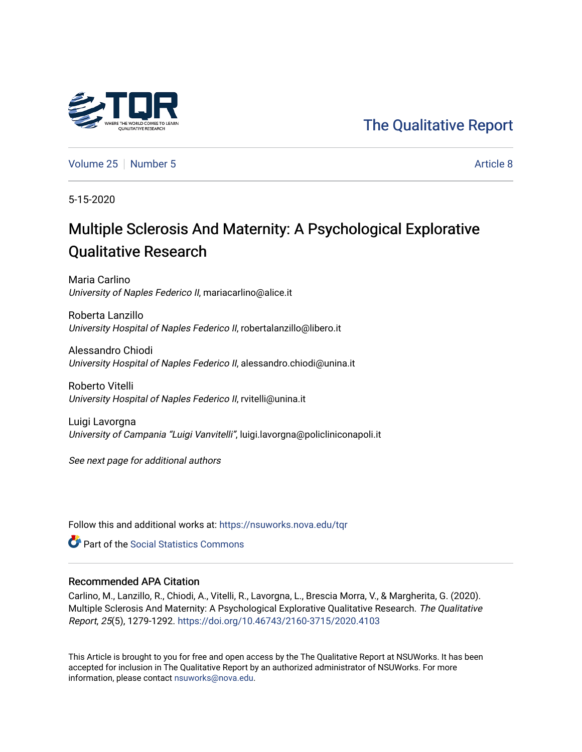# [The Qualitative Report](https://nsuworks.nova.edu/tqr)

[Volume 25](https://nsuworks.nova.edu/tqr/vol25) [Number 5](https://nsuworks.nova.edu/tqr/vol25/iss5) Article 8

5-15-2020

# Multiple Sclerosis And Maternity: A Psychological Explorative Qualitative Research

Maria Carlino University of Naples Federico II, mariacarlino@alice.it

Roberta Lanzillo University Hospital of Naples Federico II, robertalanzillo@libero.it

Alessandro Chiodi University Hospital of Naples Federico II, alessandro.chiodi@unina.it

Roberto Vitelli University Hospital of Naples Federico II, rvitelli@unina.it

Luigi Lavorgna University of Campania "Luigi Vanvitelli", luigi.lavorgna@policliniconapoli.it

See next page for additional authors

Follow this and additional works at: [https://nsuworks.nova.edu/tqr](https://nsuworks.nova.edu/tqr?utm_source=nsuworks.nova.edu%2Ftqr%2Fvol25%2Fiss5%2F8&utm_medium=PDF&utm_campaign=PDFCoverPages) 

**Part of the [Social Statistics Commons](http://network.bepress.com/hgg/discipline/1275?utm_source=nsuworks.nova.edu%2Ftqr%2Fvol25%2Fiss5%2F8&utm_medium=PDF&utm_campaign=PDFCoverPages)** 

#### Recommended APA Citation

Carlino, M., Lanzillo, R., Chiodi, A., Vitelli, R., Lavorgna, L., Brescia Morra, V., & Margherita, G. (2020). Multiple Sclerosis And Maternity: A Psychological Explorative Qualitative Research. The Qualitative Report, 25(5), 1279-1292. <https://doi.org/10.46743/2160-3715/2020.4103>

This Article is brought to you for free and open access by the The Qualitative Report at NSUWorks. It has been accepted for inclusion in The Qualitative Report by an authorized administrator of NSUWorks. For more information, please contact [nsuworks@nova.edu.](mailto:nsuworks@nova.edu)

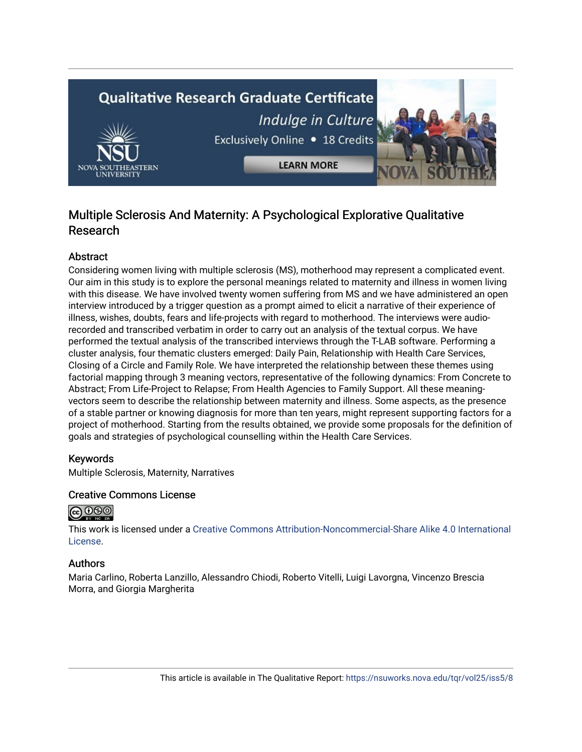# **Qualitative Research Graduate Certificate** Indulge in Culture Exclusively Online . 18 Credits **LEARN MORE**

### Multiple Sclerosis And Maternity: A Psychological Explorative Qualitative Research

#### Abstract

Considering women living with multiple sclerosis (MS), motherhood may represent a complicated event. Our aim in this study is to explore the personal meanings related to maternity and illness in women living with this disease. We have involved twenty women suffering from MS and we have administered an open interview introduced by a trigger question as a prompt aimed to elicit a narrative of their experience of illness, wishes, doubts, fears and life-projects with regard to motherhood. The interviews were audiorecorded and transcribed verbatim in order to carry out an analysis of the textual corpus. We have performed the textual analysis of the transcribed interviews through the T-LAB software. Performing a cluster analysis, four thematic clusters emerged: Daily Pain, Relationship with Health Care Services, Closing of a Circle and Family Role. We have interpreted the relationship between these themes using factorial mapping through 3 meaning vectors, representative of the following dynamics: From Concrete to Abstract; From Life-Project to Relapse; From Health Agencies to Family Support. All these meaningvectors seem to describe the relationship between maternity and illness. Some aspects, as the presence of a stable partner or knowing diagnosis for more than ten years, might represent supporting factors for a project of motherhood. Starting from the results obtained, we provide some proposals for the definition of goals and strategies of psychological counselling within the Health Care Services.

#### Keywords

Multiple Sclerosis, Maternity, Narratives

#### Creative Commons License



This work is licensed under a [Creative Commons Attribution-Noncommercial-Share Alike 4.0 International](https://creativecommons.org/licenses/by-nc-sa/4.0/)  [License](https://creativecommons.org/licenses/by-nc-sa/4.0/).

#### Authors

Maria Carlino, Roberta Lanzillo, Alessandro Chiodi, Roberto Vitelli, Luigi Lavorgna, Vincenzo Brescia Morra, and Giorgia Margherita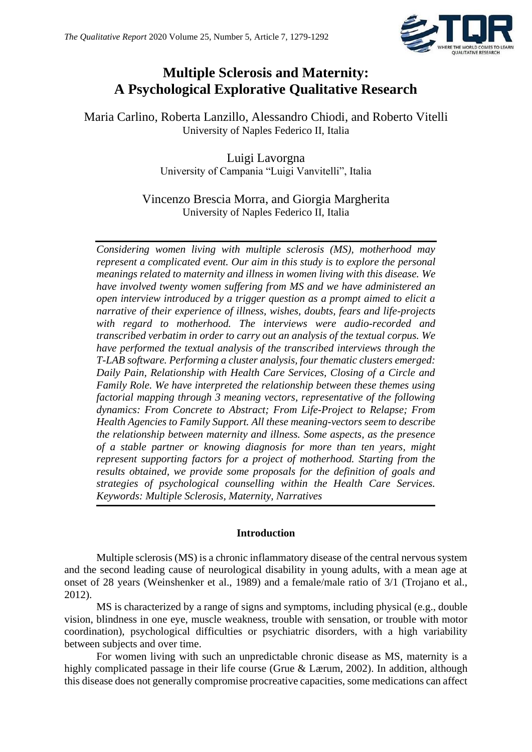

## **Multiple Sclerosis and Maternity: A Psychological Explorative Qualitative Research**

Maria Carlino, Roberta Lanzillo, Alessandro Chiodi, and Roberto Vitelli University of Naples Federico II, Italia

> Luigi Lavorgna University of Campania "Luigi Vanvitelli", Italia

Vincenzo Brescia Morra, and Giorgia Margherita University of Naples Federico II, Italia

*Considering women living with multiple sclerosis (MS), motherhood may represent a complicated event. Our aim in this study is to explore the personal meanings related to maternity and illness in women living with this disease. We have involved twenty women suffering from MS and we have administered an open interview introduced by a trigger question as a prompt aimed to elicit a narrative of their experience of illness, wishes, doubts, fears and life-projects with regard to motherhood. The interviews were audio-recorded and transcribed verbatim in order to carry out an analysis of the textual corpus. We have performed the textual analysis of the transcribed interviews through the T-LAB software. Performing a cluster analysis, four thematic clusters emerged: Daily Pain, Relationship with Health Care Services, Closing of a Circle and Family Role. We have interpreted the relationship between these themes using factorial mapping through 3 meaning vectors, representative of the following dynamics: From Concrete to Abstract; From Life-Project to Relapse; From Health Agencies to Family Support. All these meaning-vectors seem to describe the relationship between maternity and illness. Some aspects, as the presence of a stable partner or knowing diagnosis for more than ten years, might represent supporting factors for a project of motherhood. Starting from the results obtained, we provide some proposals for the definition of goals and strategies of psychological counselling within the Health Care Services. Keywords: Multiple Sclerosis, Maternity, Narratives*

#### **Introduction**

Multiple sclerosis (MS) is a chronic inflammatory disease of the central nervous system and the second leading cause of neurological disability in young adults, with a mean age at onset of 28 years (Weinshenker et al., 1989) and a female/male ratio of 3/1 (Trojano et al., 2012).

MS is characterized by a range of signs and symptoms, including physical (e.g., double vision, blindness in one eye, muscle weakness, trouble with sensation, or trouble with motor coordination), psychological difficulties or psychiatric disorders, with a high variability between subjects and over time.

For women living with such an unpredictable chronic disease as MS, maternity is a highly complicated passage in their life course (Grue & Lærum, 2002). In addition, although this disease does not generally compromise procreative capacities, some medications can affect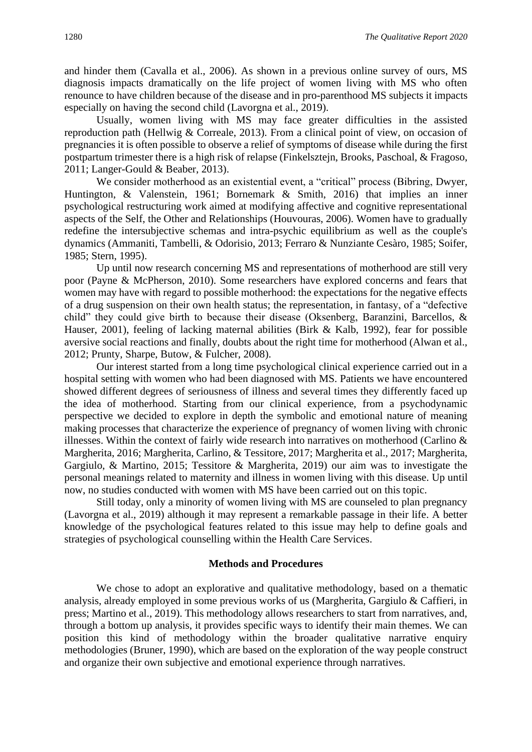and hinder them (Cavalla et al., 2006). As shown in a previous online survey of ours, MS diagnosis impacts dramatically on the life project of women living with MS who often renounce to have children because of the disease and in pro-parenthood MS subjects it impacts especially on having the second child (Lavorgna et al., 2019).

Usually, women living with MS may face greater difficulties in the assisted reproduction path (Hellwig & Correale, 2013). From a clinical point of view, on occasion of pregnancies it is often possible to observe a relief of symptoms of disease while during the first postpartum trimester there is a high risk of relapse (Finkelsztejn, Brooks, Paschoal, & Fragoso, 2011; Langer-Gould & Beaber, 2013).

We consider motherhood as an existential event, a "critical" process (Bibring, Dwyer, Huntington, & Valenstein, 1961; Bornemark & Smith, 2016) that implies an inner psychological restructuring work aimed at modifying affective and cognitive representational aspects of the Self, the Other and Relationships (Houvouras, 2006). Women have to gradually redefine the intersubjective schemas and intra-psychic equilibrium as well as the couple's dynamics (Ammaniti, Tambelli, & Odorisio, 2013; Ferraro & Nunziante Cesàro, 1985; Soifer, 1985; Stern, 1995).

Up until now research concerning MS and representations of motherhood are still very poor (Payne & McPherson, 2010). Some researchers have explored concerns and fears that women may have with regard to possible motherhood: the expectations for the negative effects of a drug suspension on their own health status; the representation, in fantasy, of a "defective child" they could give birth to because their disease (Oksenberg, Baranzini, Barcellos, & Hauser, 2001), feeling of lacking maternal abilities (Birk & Kalb, 1992), fear for possible aversive social reactions and finally, doubts about the right time for motherhood (Alwan et al., 2012; Prunty, Sharpe, Butow, & Fulcher, 2008).

Our interest started from a long time psychological clinical experience carried out in a hospital setting with women who had been diagnosed with MS. Patients we have encountered showed different degrees of seriousness of illness and several times they differently faced up the idea of motherhood. Starting from our clinical experience, from a psychodynamic perspective we decided to explore in depth the symbolic and emotional nature of meaning making processes that characterize the experience of pregnancy of women living with chronic illnesses. Within the context of fairly wide research into narratives on motherhood (Carlino & Margherita, 2016; Margherita, Carlino, & Tessitore, 2017; Margherita et al., 2017; Margherita, Gargiulo, & Martino, 2015; Tessitore & Margherita, 2019) our aim was to investigate the personal meanings related to maternity and illness in women living with this disease. Up until now, no studies conducted with women with MS have been carried out on this topic.

Still today, only a minority of women living with MS are counseled to plan pregnancy (Lavorgna et al., 2019) although it may represent a remarkable passage in their life. A better knowledge of the psychological features related to this issue may help to define goals and strategies of psychological counselling within the Health Care Services.

#### **Methods and Procedures**

We chose to adopt an explorative and qualitative methodology, based on a thematic analysis, already employed in some previous works of us (Margherita, Gargiulo & Caffieri, in press; Martino et al., 2019). This methodology allows researchers to start from narratives, and, through a bottom up analysis, it provides specific ways to identify their main themes. We can position this kind of methodology within the broader qualitative narrative enquiry methodologies (Bruner, 1990), which are based on the exploration of the way people construct and organize their own subjective and emotional experience through narratives.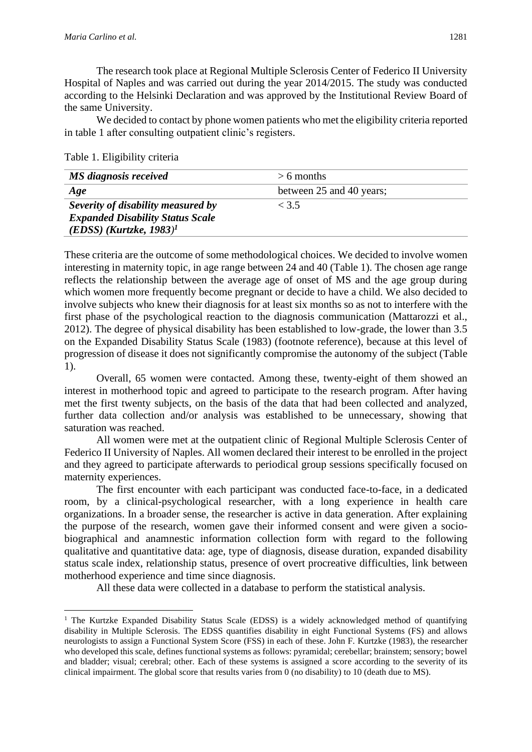The research took place at Regional Multiple Sclerosis Center of Federico II University Hospital of Naples and was carried out during the year 2014/2015. The study was conducted according to the Helsinki Declaration and was approved by the Institutional Review Board of the same University.

We decided to contact by phone women patients who met the eligibility criteria reported in table 1 after consulting outpatient clinic's registers.

Table 1. Eligibility criteria

| MS diagnosis received                   | $> 6$ months             |
|-----------------------------------------|--------------------------|
| Age                                     | between 25 and 40 years; |
| Severity of disability measured by      | < 3.5                    |
| <b>Expanded Disability Status Scale</b> |                          |
| $(EDSS)$ (Kurtzke, 1983) <sup>1</sup>   |                          |

These criteria are the outcome of some methodological choices. We decided to involve women interesting in maternity topic, in age range between 24 and 40 (Table 1). The chosen age range reflects the relationship between the average age of onset of MS and the age group during which women more frequently become pregnant or decide to have a child. We also decided to involve subjects who knew their diagnosis for at least six months so as not to interfere with the first phase of the psychological reaction to the diagnosis communication (Mattarozzi et al., 2012). The degree of physical disability has been established to low-grade, the lower than 3.5 on the Expanded Disability Status Scale (1983) (footnote reference), because at this level of progression of disease it does not significantly compromise the autonomy of the subject (Table 1).

Overall, 65 women were contacted. Among these, twenty-eight of them showed an interest in motherhood topic and agreed to participate to the research program. After having met the first twenty subjects, on the basis of the data that had been collected and analyzed, further data collection and/or analysis was established to be unnecessary, showing that saturation was reached.

All women were met at the outpatient clinic of Regional Multiple Sclerosis Center of Federico II University of Naples. All women declared their interest to be enrolled in the project and they agreed to participate afterwards to periodical group sessions specifically focused on maternity experiences.

The first encounter with each participant was conducted face-to-face, in a dedicated room, by a clinical-psychological researcher, with a long experience in health care organizations. In a broader sense, the researcher is active in data generation. After explaining the purpose of the research, women gave their informed consent and were given a sociobiographical and anamnestic information collection form with regard to the following qualitative and quantitative data: age, type of diagnosis, disease duration, expanded disability status scale index, relationship status, presence of overt procreative difficulties, link between motherhood experience and time since diagnosis.

All these data were collected in a database to perform the statistical analysis.

<sup>&</sup>lt;sup>1</sup> The Kurtzke Expanded Disability Status Scale (EDSS) is a widely acknowledged method of quantifying disability in Multiple Sclerosis. The EDSS quantifies disability in eight Functional Systems (FS) and allows neurologists to assign a Functional System Score (FSS) in each of these. John F. Kurtzke (1983), the researcher who developed this scale, defines functional systems as follows: pyramidal; cerebellar; brainstem; sensory; bowel and bladder; visual; cerebral; other. Each of these systems is assigned a score according to the severity of its clinical impairment. The global score that results varies from 0 (no disability) to 10 (death due to MS).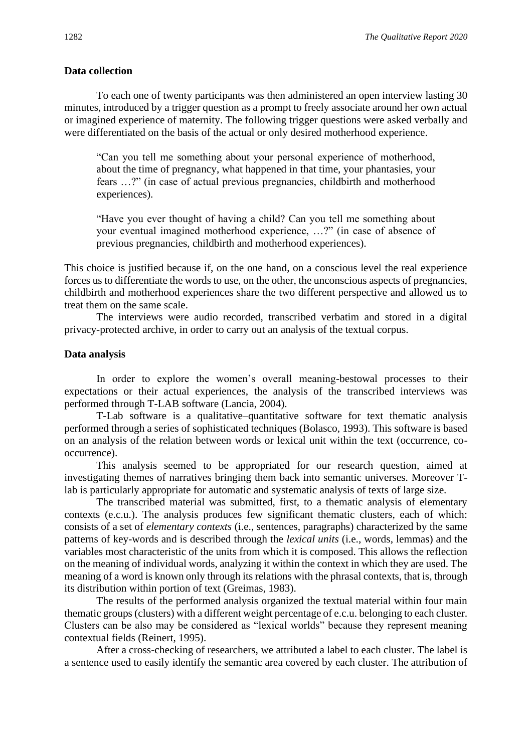#### **Data collection**

To each one of twenty participants was then administered an open interview lasting 30 minutes, introduced by a trigger question as a prompt to freely associate around her own actual or imagined experience of maternity. The following trigger questions were asked verbally and were differentiated on the basis of the actual or only desired motherhood experience.

"Can you tell me something about your personal experience of motherhood, about the time of pregnancy, what happened in that time, your phantasies, your fears …?" (in case of actual previous pregnancies, childbirth and motherhood experiences).

"Have you ever thought of having a child? Can you tell me something about your eventual imagined motherhood experience, …?" (in case of absence of previous pregnancies, childbirth and motherhood experiences).

This choice is justified because if, on the one hand, on a conscious level the real experience forces us to differentiate the words to use, on the other, the unconscious aspects of pregnancies, childbirth and motherhood experiences share the two different perspective and allowed us to treat them on the same scale.

The interviews were audio recorded, transcribed verbatim and stored in a digital privacy-protected archive, in order to carry out an analysis of the textual corpus.

#### **Data analysis**

In order to explore the women's overall meaning-bestowal processes to their expectations or their actual experiences, the analysis of the transcribed interviews was performed through T-LAB software (Lancia, 2004).

T-Lab software is a qualitative–quantitative software for text thematic analysis performed through a series of sophisticated techniques (Bolasco, 1993). This software is based on an analysis of the relation between words or lexical unit within the text (occurrence, cooccurrence).

This analysis seemed to be appropriated for our research question, aimed at investigating themes of narratives bringing them back into semantic universes. Moreover Tlab is particularly appropriate for automatic and systematic analysis of texts of large size.

The transcribed material was submitted, first, to a thematic analysis of elementary contexts (e.c.u.). The analysis produces few significant thematic clusters, each of which: consists of a set of *elementary contexts* (i.e., sentences, paragraphs) characterized by the same patterns of key-words and is described through the *lexical units* (i.e., words, lemmas) and the variables most characteristic of the units from which it is composed. This allows the reflection on the meaning of individual words, analyzing it within the context in which they are used. The meaning of a word is known only through its relations with the phrasal contexts, that is, through its distribution within portion of text (Greimas, 1983).

The results of the performed analysis organized the textual material within four main thematic groups (clusters) with a different weight percentage of e.c.u. belonging to each cluster. Clusters can be also may be considered as "lexical worlds" because they represent meaning contextual fields (Reinert, 1995).

After a cross-checking of researchers, we attributed a label to each cluster. The label is a sentence used to easily identify the semantic area covered by each cluster. The attribution of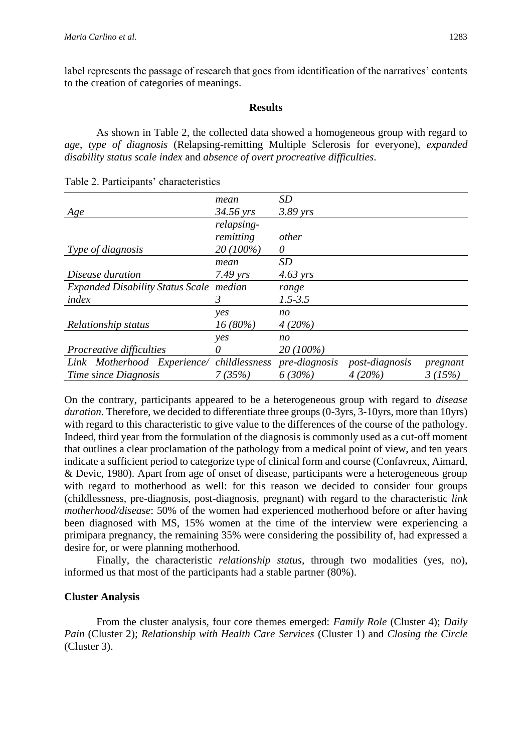label represents the passage of research that goes from identification of the narratives' contents to the creation of categories of meanings.

#### **Results**

As shown in Table 2, the collected data showed a homogeneous group with regard to *age*, *type of diagnosis* (Relapsing-remitting Multiple Sclerosis for everyone), *expanded disability status scale index* and *absence of overt procreative difficulties*.

| mean                                           | SD                 |                       |          |
|------------------------------------------------|--------------------|-----------------------|----------|
| $34.56$ yrs                                    | $3.89$ yrs         |                       |          |
| relapsing-                                     |                    |                       |          |
| remitting                                      | other              |                       |          |
| 20 (100%)                                      | 0                  |                       |          |
| mean                                           | <b>SD</b>          |                       |          |
| $7.49$ yrs                                     | $4.63 \text{ yrs}$ |                       |          |
| <b>Expanded Disability Status Scale median</b> | range              |                       |          |
| 3                                              | $1.5 - 3.5$        |                       |          |
| yes                                            | $n_{O}$            |                       |          |
| $16(80\%)$                                     | 4(20%)             |                       |          |
| yes                                            | no                 |                       |          |
| 0                                              | 20 (100%)          |                       |          |
| Link Motherhood Experience/ childlessness      | pre-diagnosis      | <i>post-diagnosis</i> | pregnant |
| 7 (35%)                                        | 6(30%)             | 4(20%)                | 3(15%)   |
|                                                |                    |                       |          |

Table 2. Participants' characteristics

On the contrary, participants appeared to be a heterogeneous group with regard to *disease duration*. Therefore, we decided to differentiate three groups (0-3yrs, 3-10yrs, more than 10yrs) with regard to this characteristic to give value to the differences of the course of the pathology. Indeed, third year from the formulation of the diagnosis is commonly used as a cut-off moment that outlines a clear proclamation of the pathology from a medical point of view, and ten years indicate a sufficient period to categorize type of clinical form and course (Confavreux, Aimard, & Devic, 1980). Apart from age of onset of disease, participants were a heterogeneous group with regard to motherhood as well: for this reason we decided to consider four groups (childlessness, pre-diagnosis, post-diagnosis, pregnant) with regard to the characteristic *link motherhood/disease*: 50% of the women had experienced motherhood before or after having been diagnosed with MS, 15% women at the time of the interview were experiencing a primipara pregnancy, the remaining 35% were considering the possibility of, had expressed a desire for, or were planning motherhood.

Finally, the characteristic *relationship status*, through two modalities (yes, no), informed us that most of the participants had a stable partner (80%).

#### **Cluster Analysis**

From the cluster analysis, four core themes emerged: *Family Role* (Cluster 4); *Daily Pain* (Cluster 2); *Relationship with Health Care Services* (Cluster 1) and *Closing the Circle* (Cluster 3).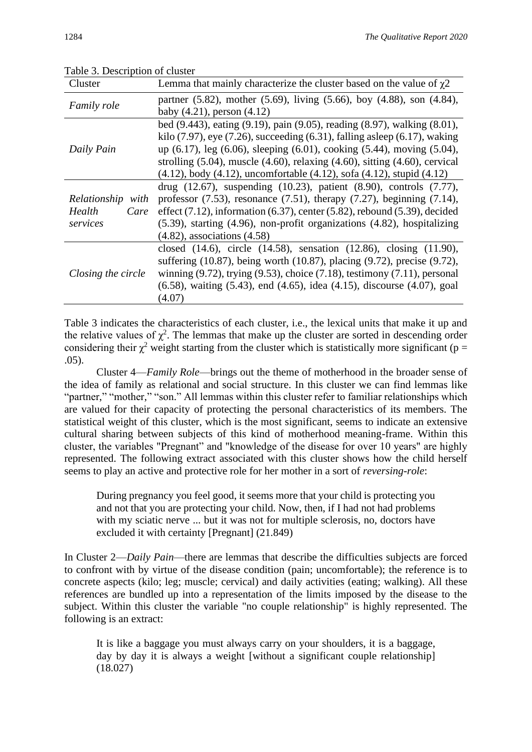| Cluster                                         | Lemma that mainly characterize the cluster based on the value of $\chi$ 2                                                                                                                                                                                                                                                                                                                                                    |
|-------------------------------------------------|------------------------------------------------------------------------------------------------------------------------------------------------------------------------------------------------------------------------------------------------------------------------------------------------------------------------------------------------------------------------------------------------------------------------------|
| Family role                                     | partner (5.82), mother (5.69), living (5.66), boy (4.88), son (4.84),<br>baby $(4.21)$ , person $(4.12)$                                                                                                                                                                                                                                                                                                                     |
| Daily Pain                                      | bed (9.443), eating (9.19), pain (9.05), reading (8.97), walking (8.01),<br>kilo $(7.97)$ , eye $(7.26)$ , succeeding $(6.31)$ , falling asleep $(6.17)$ , waking<br>up (6.17), leg (6.06), sleeping (6.01), cooking (5.44), moving (5.04),<br>strolling $(5.04)$ , muscle $(4.60)$ , relaxing $(4.60)$ , sitting $(4.60)$ , cervical<br>$(4.12)$ , body $(4.12)$ , uncomfortable $(4.12)$ , sofa $(4.12)$ , stupid $(4.12)$ |
| Relationship with<br>Health<br>Care<br>services | drug $(12.67)$ , suspending $(10.23)$ , patient $(8.90)$ , controls $(7.77)$ ,<br>professor $(7.53)$ , resonance $(7.51)$ , therapy $(7.27)$ , beginning $(7.14)$ ,<br>effect $(7.12)$ , information $(6.37)$ , center $(5.82)$ , rebound $(5.39)$ , decided<br>$(5.39)$ , starting $(4.96)$ , non-profit organizations $(4.82)$ , hospitalizing<br>$(4.82)$ , associations $(4.58)$                                         |
| Closing the circle                              | closed $(14.6)$ , circle $(14.58)$ , sensation $(12.86)$ , closing $(11.90)$ ,<br>suffering (10.87), being worth (10.87), placing (9.72), precise (9.72),<br>winning $(9.72)$ , trying $(9.53)$ , choice $(7.18)$ , testimony $(7.11)$ , personal<br>$(6.58)$ , waiting $(5.43)$ , end $(4.65)$ , idea $(4.15)$ , discourse $(4.07)$ , goal<br>(4.07)                                                                        |

Table 3. Description of cluster

Table 3 indicates the characteristics of each cluster, i.e., the lexical units that make it up and the relative values of  $\chi^2$ . The lemmas that make up the cluster are sorted in descending order considering their  $\chi^2$  weight starting from the cluster which is statistically more significant (p = .05).

Cluster 4—*Family Role*—brings out the theme of motherhood in the broader sense of the idea of family as relational and social structure. In this cluster we can find lemmas like "partner," "mother," "son." All lemmas within this cluster refer to familiar relationships which are valued for their capacity of protecting the personal characteristics of its members. The statistical weight of this cluster, which is the most significant, seems to indicate an extensive cultural sharing between subjects of this kind of motherhood meaning-frame. Within this cluster, the variables "Pregnant" and "knowledge of the disease for over 10 years" are highly represented. The following extract associated with this cluster shows how the child herself seems to play an active and protective role for her mother in a sort of *reversing-role*:

During pregnancy you feel good, it seems more that your child is protecting you and not that you are protecting your child. Now, then, if I had not had problems with my sciatic nerve ... but it was not for multiple sclerosis, no, doctors have excluded it with certainty [Pregnant] (21.849)

In Cluster 2—*Daily Pain*—there are lemmas that describe the difficulties subjects are forced to confront with by virtue of the disease condition (pain; uncomfortable); the reference is to concrete aspects (kilo; leg; muscle; cervical) and daily activities (eating; walking). All these references are bundled up into a representation of the limits imposed by the disease to the subject. Within this cluster the variable "no couple relationship" is highly represented. The following is an extract:

It is like a baggage you must always carry on your shoulders, it is a baggage, day by day it is always a weight [without a significant couple relationship] (18.027)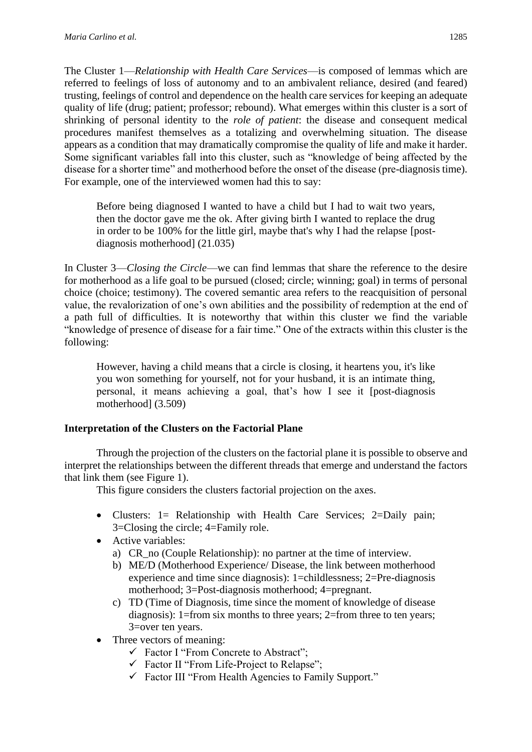The Cluster 1—*Relationship with Health Care Services*—is composed of lemmas which are referred to feelings of loss of autonomy and to an ambivalent reliance, desired (and feared) trusting, feelings of control and dependence on the health care services for keeping an adequate quality of life (drug; patient; professor; rebound). What emerges within this cluster is a sort of shrinking of personal identity to the *role of patient*: the disease and consequent medical procedures manifest themselves as a totalizing and overwhelming situation. The disease appears as a condition that may dramatically compromise the quality of life and make it harder. Some significant variables fall into this cluster, such as "knowledge of being affected by the disease for a shorter time" and motherhood before the onset of the disease (pre-diagnosis time). For example, one of the interviewed women had this to say:

Before being diagnosed I wanted to have a child but I had to wait two years, then the doctor gave me the ok. After giving birth I wanted to replace the drug in order to be 100% for the little girl, maybe that's why I had the relapse [postdiagnosis motherhood] (21.035)

In Cluster 3—*Closing the Circle*—we can find lemmas that share the reference to the desire for motherhood as a life goal to be pursued (closed; circle; winning; goal) in terms of personal choice (choice; testimony). The covered semantic area refers to the reacquisition of personal value, the revalorization of one's own abilities and the possibility of redemption at the end of a path full of difficulties. It is noteworthy that within this cluster we find the variable "knowledge of presence of disease for a fair time." One of the extracts within this cluster is the following:

However, having a child means that a circle is closing, it heartens you, it's like you won something for yourself, not for your husband, it is an intimate thing, personal, it means achieving a goal, that's how I see it [post-diagnosis motherhood] (3.509)

#### **Interpretation of the Clusters on the Factorial Plane**

Through the projection of the clusters on the factorial plane it is possible to observe and interpret the relationships between the different threads that emerge and understand the factors that link them (see Figure 1).

This figure considers the clusters factorial projection on the axes.

- Clusters: 1= Relationship with Health Care Services; 2=Daily pain; 3=Closing the circle; 4=Family role.
- Active variables:
	- a) CR\_no (Couple Relationship): no partner at the time of interview.
	- b) ME/D (Motherhood Experience/ Disease, the link between motherhood experience and time since diagnosis): 1=childlessness; 2=Pre-diagnosis motherhood; 3=Post-diagnosis motherhood; 4=pregnant.
	- c) TD (Time of Diagnosis, time since the moment of knowledge of disease diagnosis): 1=from six months to three years; 2=from three to ten years; 3=over ten years.
- Three vectors of meaning:
	- ✓ Factor I "From Concrete to Abstract";
	- ✓ Factor II "From Life-Project to Relapse";
	- ✓ Factor III "From Health Agencies to Family Support."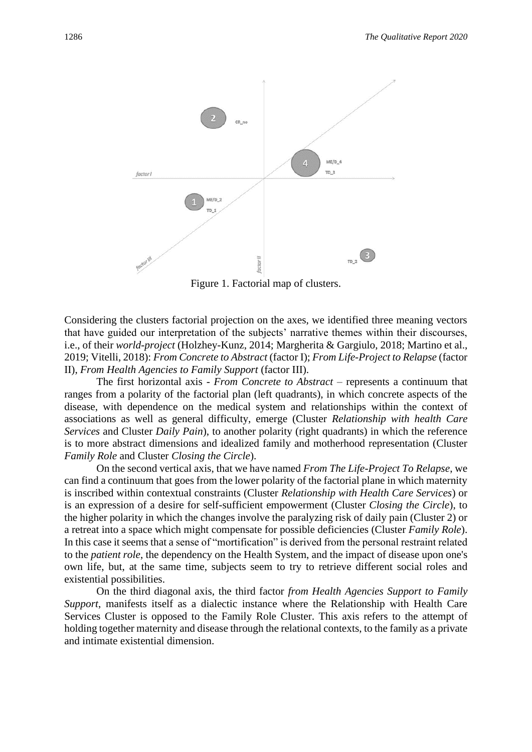

Figure 1. Factorial map of clusters.

Considering the clusters factorial projection on the axes, we identified three meaning vectors that have guided our interpretation of the subjects' narrative themes within their discourses, i.e., of their *world-project* (Holzhey-Kunz, 2014; Margherita & Gargiulo, 2018; Martino et al., 2019; Vitelli, 2018): *From Concrete to Abstract* (factor I); *From Life-Project to Relapse* (factor II), *From Health Agencies to Family Support* (factor III).

The first horizontal axis - *From Concrete to Abstract* – represents a continuum that ranges from a polarity of the factorial plan (left quadrants), in which concrete aspects of the disease, with dependence on the medical system and relationships within the context of associations as well as general difficulty, emerge (Cluster *Relationship with health Care Services* and Cluster *Daily Pain*), to another polarity (right quadrants) in which the reference is to more abstract dimensions and idealized family and motherhood representation (Cluster *Family Role* and Cluster *Closing the Circle*).

On the second vertical axis, that we have named *From The Life-Project To Relapse*, we can find a continuum that goes from the lower polarity of the factorial plane in which maternity is inscribed within contextual constraints (Cluster *Relationship with Health Care Services*) or is an expression of a desire for self-sufficient empowerment (Cluster *Closing the Circle*), to the higher polarity in which the changes involve the paralyzing risk of daily pain (Cluster 2) or a retreat into a space which might compensate for possible deficiencies (Cluster *Family Role*). In this case it seems that a sense of "mortification" is derived from the personal restraint related to the *patient role*, the dependency on the Health System, and the impact of disease upon one's own life, but, at the same time, subjects seem to try to retrieve different social roles and existential possibilities.

On the third diagonal axis, the third factor *from Health Agencies Support to Family Support*, manifests itself as a dialectic instance where the Relationship with Health Care Services Cluster is opposed to the Family Role Cluster. This axis refers to the attempt of holding together maternity and disease through the relational contexts, to the family as a private and intimate existential dimension.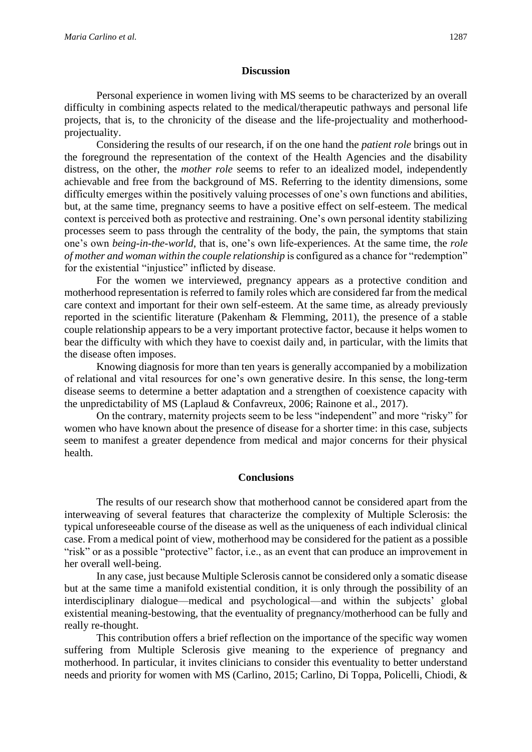#### **Discussion**

Personal experience in women living with MS seems to be characterized by an overall difficulty in combining aspects related to the medical/therapeutic pathways and personal life projects, that is, to the chronicity of the disease and the life-projectuality and motherhoodprojectuality.

Considering the results of our research, if on the one hand the *patient role* brings out in the foreground the representation of the context of the Health Agencies and the disability distress, on the other, the *mother role* seems to refer to an idealized model, independently achievable and free from the background of MS. Referring to the identity dimensions, some difficulty emerges within the positively valuing processes of one's own functions and abilities, but, at the same time, pregnancy seems to have a positive effect on self-esteem. The medical context is perceived both as protective and restraining. One's own personal identity stabilizing processes seem to pass through the centrality of the body, the pain, the symptoms that stain one's own *being-in-the-world*, that is, one's own life-experiences. At the same time, the *role of mother and woman within the couple relationship* is configured as a chance for "redemption" for the existential "injustice" inflicted by disease.

For the women we interviewed, pregnancy appears as a protective condition and motherhood representation is referred to family roles which are considered far from the medical care context and important for their own self-esteem. At the same time, as already previously reported in the scientific literature (Pakenham & Flemming, 2011), the presence of a stable couple relationship appears to be a very important protective factor, because it helps women to bear the difficulty with which they have to coexist daily and, in particular, with the limits that the disease often imposes.

Knowing diagnosis for more than ten years is generally accompanied by a mobilization of relational and vital resources for one's own generative desire. In this sense, the long-term disease seems to determine a better adaptation and a strengthen of coexistence capacity with the unpredictability of MS (Laplaud & Confavreux, 2006; Rainone et al., 2017).

On the contrary, maternity projects seem to be less "independent" and more "risky" for women who have known about the presence of disease for a shorter time: in this case, subjects seem to manifest a greater dependence from medical and major concerns for their physical health.

#### **Conclusions**

The results of our research show that motherhood cannot be considered apart from the interweaving of several features that characterize the complexity of Multiple Sclerosis: the typical unforeseeable course of the disease as well as the uniqueness of each individual clinical case. From a medical point of view, motherhood may be considered for the patient as a possible "risk" or as a possible "protective" factor, i.e., as an event that can produce an improvement in her overall well-being.

In any case, just because Multiple Sclerosis cannot be considered only a somatic disease but at the same time a manifold existential condition, it is only through the possibility of an interdisciplinary dialogue—medical and psychological—and within the subjects' global existential meaning-bestowing, that the eventuality of pregnancy/motherhood can be fully and really re-thought.

This contribution offers a brief reflection on the importance of the specific way women suffering from Multiple Sclerosis give meaning to the experience of pregnancy and motherhood. In particular, it invites clinicians to consider this eventuality to better understand needs and priority for women with MS (Carlino, 2015; Carlino, Di Toppa, Policelli, Chiodi, &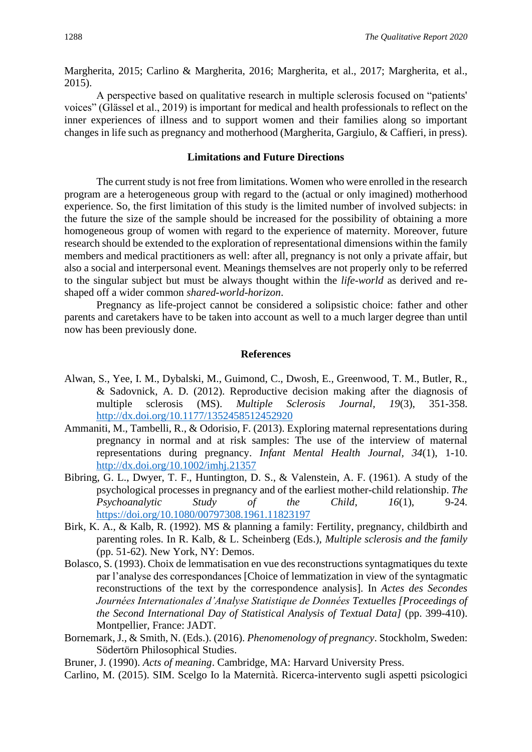Margherita, 2015; Carlino & Margherita, 2016; Margherita, et al., 2017; Margherita, et al., 2015).

A perspective based on qualitative research in multiple sclerosis focused on "patients' voices" (Glässel et al., 2019) is important for medical and health professionals to reflect on the inner experiences of illness and to support women and their families along so important changes in life such as pregnancy and motherhood (Margherita, Gargiulo, & Caffieri, in press).

#### **Limitations and Future Directions**

The current study is not free from limitations. Women who were enrolled in the research program are a heterogeneous group with regard to the (actual or only imagined) motherhood experience. So, the first limitation of this study is the limited number of involved subjects: in the future the size of the sample should be increased for the possibility of obtaining a more homogeneous group of women with regard to the experience of maternity. Moreover, future research should be extended to the exploration of representational dimensions within the family members and medical practitioners as well: after all, pregnancy is not only a private affair, but also a social and interpersonal event. Meanings themselves are not properly only to be referred to the singular subject but must be always thought within the *life-world* as derived and reshaped off a wider common *shared-world-horizon*.

Pregnancy as life-project cannot be considered a solipsistic choice: father and other parents and caretakers have to be taken into account as well to a much larger degree than until now has been previously done.

#### **References**

- Alwan, S., Yee, I. M., Dybalski, M., Guimond, C., Dwosh, E., Greenwood, T. M., Butler, R., & Sadovnick, A. D. (2012). Reproductive decision making after the diagnosis of multiple sclerosis (MS). *Multiple Sclerosis Journal, 19*(3), 351-358. <http://dx.doi.org/10.1177/1352458512452920>
- Ammaniti, M., Tambelli, R., & Odorisio, F. (2013). Exploring maternal representations during pregnancy in normal and at risk samples: The use of the interview of maternal representations during pregnancy. *Infant Mental Health Journal, 34*(1), 1-10. <http://dx.doi.org/10.1002/imhj.21357>
- Bibring, G. L., Dwyer, T. F., Huntington, D. S., & Valenstein, A. F. (1961). A study of the psychological processes in pregnancy and of the earliest mother-child relationship. *The Psychoanalytic Study of the Child*, *16*(1), 9-24. <https://doi.org/10.1080/00797308.1961.11823197>
- Birk, K. A., & Kalb, R. (1992). MS & planning a family: Fertility, pregnancy, childbirth and parenting roles. In R. Kalb, & L. Scheinberg (Eds.), *Multiple sclerosis and the family*  (pp. 51-62). New York, NY: Demos.
- Bolasco, S. (1993). Choix de lemmatisation en vue des reconstructions syntagmatiques du texte par l'analyse des correspondances [Choice of lemmatization in view of the syntagmatic reconstructions of the text by the correspondence analysis]. In *Actes des Secondes Journées Internationales d'Analyse Statistique de Données Textuelles [Proceedings of the Second International Day of Statistical Analysis of Textual Data]* (pp. 399-410). Montpellier, France: JADT.
- Bornemark, J., & Smith, N. (Eds.). (2016). *Phenomenology of pregnancy*. Stockholm, Sweden: Södertörn Philosophical Studies.
- Bruner, J. (1990). *Acts of meaning*. Cambridge, MA: Harvard University Press.
- Carlino, M. (2015). SIM. Scelgo Io la Maternità. Ricerca-intervento sugli aspetti psicologici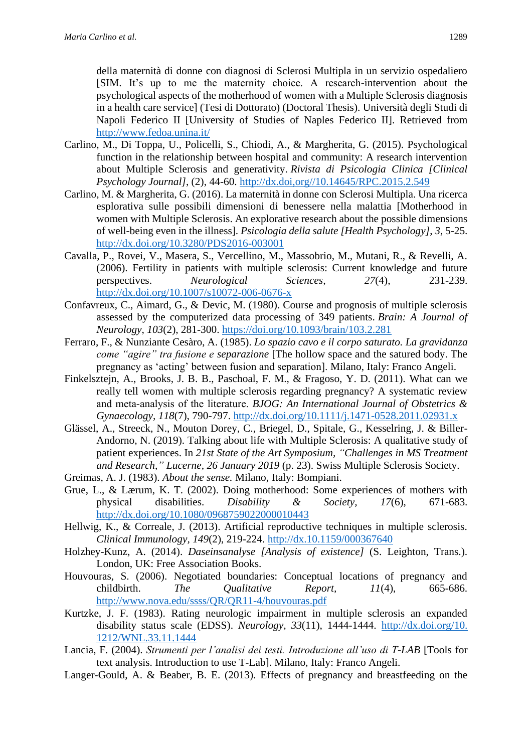della maternità di donne con diagnosi di Sclerosi Multipla in un servizio ospedaliero [SIM. It's up to me the maternity choice. A research-intervention about the psychological aspects of the motherhood of women with a Multiple Sclerosis diagnosis in a health care service] (Tesi di Dottorato) (Doctoral Thesis). Università degli Studi di Napoli Federico II [University of Studies of Naples Federico II]. Retrieved from <http://www.fedoa.unina.it/>

- Carlino, M., Di Toppa, U., Policelli, S., Chiodi, A., & Margherita, G. (2015). Psychological function in the relationship between hospital and community: A research intervention about Multiple Sclerosis and generativity. *Rivista di Psicologia Clinica [Clinical Psychology Journal]*, (2), 44-60. [http://dx.doi,org//10.14645/RPC.2015.2.549](http://dx.doi,org/10.14645/RPC.2015.2.549)
- Carlino, M. & Margherita, G. (2016). La maternità in donne con Sclerosi Multipla. Una ricerca esplorativa sulle possibili dimensioni di benessere nella malattia [Motherhood in women with Multiple Sclerosis. An explorative research about the possible dimensions of well-being even in the illness]. *Psicologia della salute [Health Psychology]*, *3*, 5-25. <http://dx.doi.org/10.3280/PDS2016-003001>
- Cavalla, P., Rovei, V., Masera, S., Vercellino, M., Massobrio, M., Mutani, R., & Revelli, A. (2006). Fertility in patients with multiple sclerosis: Current knowledge and future perspectives. *Neurological Sciences, 27*(4), 231-239. <http://dx.doi.org/10.1007/s10072-006-0676-x>
- Confavreux, C., Aimard, G., & Devic, M. (1980). Course and prognosis of multiple sclerosis assessed by the computerized data processing of 349 patients. *Brain: A Journal of Neurology*, *103*(2), 281-300.<https://doi.org/10.1093/brain/103.2.281>
- Ferraro, F., & Nunziante Cesàro, A. (1985). *Lo spazio cavo e il corpo saturato. La gravidanza come "agire" tra fusione e separazione* [The hollow space and the satured body. The pregnancy as 'acting' between fusion and separation]. Milano, Italy: Franco Angeli.
- Finkelsztejn, A., Brooks, J. B. B., Paschoal, F. M., & Fragoso, Y. D. (2011). What can we really tell women with multiple sclerosis regarding pregnancy? A systematic review and meta‐analysis of the literature. *BJOG: An International Journal of Obstetrics & Gynaecology, 118*(7), 790-797. <http://dx.doi.org/10.1111/j.1471-0528.2011.02931.x>
- Glässel, A., Streeck, N., Mouton Dorey, C., Briegel, D., Spitale, G., Kesselring, J. & Biller-Andorno, N. (2019). Talking about life with Multiple Sclerosis: A qualitative study of patient experiences. In *21st State of the Art Symposium, "Challenges in MS Treatment and Research," Lucerne, 26 January 2019* (p. 23). Swiss Multiple Sclerosis Society.
- Greimas, A. J. (1983). *About the sense.* Milano, Italy: Bompiani.
- Grue, L., & Lærum, K. T. (2002). Doing motherhood: Some experiences of mothers with physical disabilities. *Disability & Society, 17*(6), 671-683. <http://dx.doi.org/10.1080/0968759022000010443>
- Hellwig, K., & Correale, J. (2013). Artificial reproductive techniques in multiple sclerosis. *Clinical Immunology, 149*(2), 219-224.<http://dx.10.1159/000367640>
- Holzhey-Kunz, A. (2014). *Daseinsanalyse [Analysis of existence]* (S. Leighton, Trans.). London, UK: Free Association Books.
- Houvouras, S. (2006). Negotiated boundaries: Conceptual locations of pregnancy and childbirth. *The Qualitative Report, 11*(4), 665-686. <http://www.nova.edu/ssss/QR/QR11-4/houvouras.pdf>
- Kurtzke, J. F. (1983). Rating neurologic impairment in multiple sclerosis an expanded disability status scale (EDSS). *Neurology, 33*(11), 1444-1444. [http://dx.doi.org/10.](http://​/​dx.​doi.​org/​10.​1212/​WNL.​33.​11.​1444) [1212/WNL.33.11.1444](http://​/​dx.​doi.​org/​10.​1212/​WNL.​33.​11.​1444)
- Lancia, F. (2004). *Strumenti per l'analisi dei testi. Introduzione all'uso di T-LAB* [Tools for text analysis. Introduction to use T-Lab]. Milano, Italy: Franco Angeli.
- Langer-Gould, A. & Beaber, B. E. (2013). Effects of pregnancy and breastfeeding on the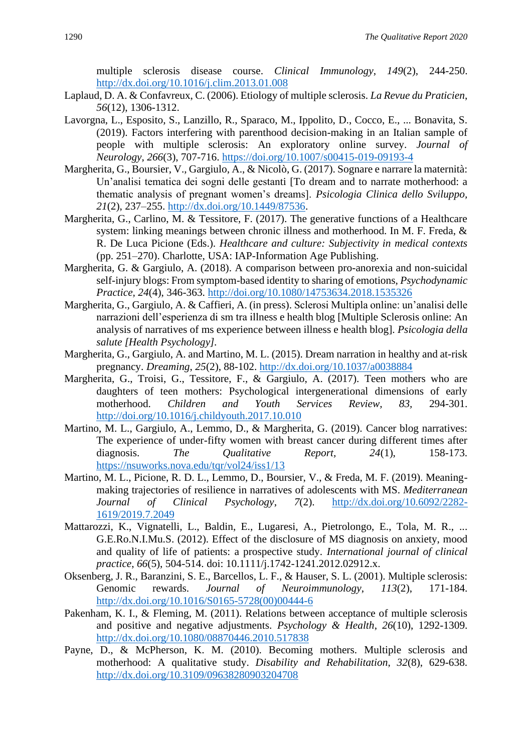multiple sclerosis disease course. *Clinical Immunology*, *149*(2), 244-250. <http://dx.doi.org/10.1016/j.clim.2013.01.008>

- Laplaud, D. A. & Confavreux, C. (2006). Etiology of multiple sclerosis. *La Revue du Praticien*, *56*(12), 1306-1312.
- Lavorgna, L., Esposito, S., Lanzillo, R., Sparaco, M., Ippolito, D., Cocco, E., ... Bonavita, S. (2019). Factors interfering with parenthood decision-making in an Italian sample of people with multiple sclerosis: An exploratory online survey. *Journal of Neurology*, *266*(3), 707-716.<https://doi.org/10.1007/s00415-019-09193-4>
- Margherita, G., Boursier, V., Gargiulo, A., & Nicolò, G. (2017). Sognare e narrare la maternità: Un'analisi tematica dei sogni delle gestanti [To dream and to narrate motherhood: a thematic analysis of pregnant women's dreams]. *Psicologia Clinica dello Sviluppo, 21*(2), 237–255. [http://dx.doi.org/10.1449/87536.](http://dx.doi.org/10.1449/87536)
- Margherita, G., Carlino, M. & Tessitore, F. (2017). The generative functions of a Healthcare system: linking meanings between chronic illness and motherhood. In M. F. Freda, & R. De Luca Picione (Eds.). *Healthcare and culture: Subjectivity in medical contexts* (pp. 251–270). Charlotte, USA: IAP-Information Age Publishing.
- Margherita, G. & Gargiulo, A. (2018). A comparison between pro-anorexia and non-suicidal self-injury blogs: From symptom-based identity to sharing of emotions, *Psychodynamic Practice, 24*(4), 346-363.<http://doi.org/10.1080/14753634.2018.1535326>
- Margherita, G., Gargiulo, A. & Caffieri, A. (in press). Sclerosi Multipla online: un'analisi delle narrazioni dell'esperienza di sm tra illness e health blog [Multiple Sclerosis online: An analysis of narratives of ms experience between illness e health blog]. *Psicologia della salute [Health Psychology].*
- Margherita, G., Gargiulo, A. and Martino, M. L. (2015). Dream narration in healthy and at-risk pregnancy. *Dreaming*, *25*(2), 88-102.<http://dx.doi.org/10.1037/a0038884>
- Margherita, G., Troisi, G., Tessitore, F., & Gargiulo, A. (2017). Teen mothers who are daughters of teen mothers: Psychological intergenerational dimensions of early motherhood. *Children and Youth Services Review, 83,* 294-301. <http://doi.org/10.1016/j.childyouth.2017.10.010>
- Martino, M. L., Gargiulo, A., Lemmo, D., & Margherita, G. (2019). Cancer blog narratives: The experience of under-fifty women with breast cancer during different times after diagnosis. *The Qualitative Report, 24*(1), 158-173. <https://nsuworks.nova.edu/tqr/vol24/iss1/13>
- Martino, M. L., Picione, R. D. L., Lemmo, D., Boursier, V., & Freda, M. F. (2019). Meaningmaking trajectories of resilience in narratives of adolescents with MS. *Mediterranean Journal of Clinical Psychology*, *7*(2). [http://dx.doi.org/10.6092/2282-](http://dx.doi.org/10.6092/2282-1619/2019.7.2049) [1619/2019.7.2049](http://dx.doi.org/10.6092/2282-1619/2019.7.2049)
- Mattarozzi, K., Vignatelli, L., Baldin, E., Lugaresi, A., Pietrolongo, E., Tola, M. R., ... G.E.Ro.N.I.Mu.S. (2012). Effect of the disclosure of MS diagnosis on anxiety, mood and quality of life of patients: a prospective study. *International journal of clinical practice*, *66*(5), 504-514. doi: 10.1111/j.1742-1241.2012.02912.x.
- Oksenberg, J. R., Baranzini, S. E., Barcellos, L. F., & Hauser, S. L. (2001). Multiple sclerosis: Genomic rewards. *Journal of Neuroimmunology*, *113*(2), 171-184. [http://dx.doi.org/10.1016/S0165-5728\(00\)00444-6](http://dx.doi.org/10.1016/S0165-5728(00)00444-6)
- Pakenham, K. I., & Fleming, M. (2011). Relations between acceptance of multiple sclerosis and positive and negative adjustments. *Psychology & Health*, *26*(10), 1292-1309. <http://dx.doi.org/10.1080/08870446.2010.517838>
- Payne, D., & McPherson, K. M. (2010). Becoming mothers. Multiple sclerosis and motherhood: A qualitative study. *Disability and Rehabilitation*, *32*(8), 629-638. <http://dx.doi.org/10.3109/09638280903204708>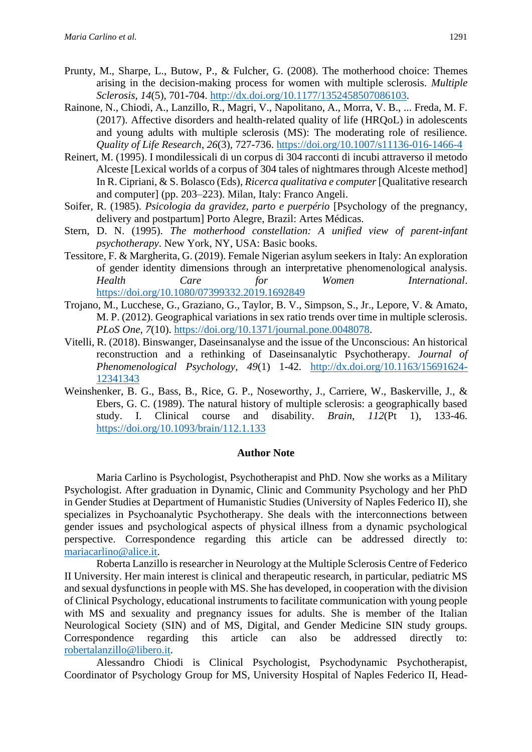- Prunty, M., Sharpe, L., Butow, P., & Fulcher, G. (2008). The motherhood choice: Themes arising in the decision-making process for women with multiple sclerosis. *Multiple Sclerosis*, *14*(5), 701-704. [http://dx.doi.org/10.1177/1352458507086103.](http://dx.doi.org/10.1177/1352458507086103)
- Rainone, N., Chiodi, A., Lanzillo, R., Magri, V., Napolitano, A., Morra, V. B., ... Freda, M. F. (2017). Affective disorders and health-related quality of life (HRQoL) in adolescents and young adults with multiple sclerosis (MS): The moderating role of resilience. *Quality of Life Research*, *26*(3), 727-736.<https://doi.org/10.1007/s11136-016-1466-4>
- Reinert, M. (1995). I mondilessicali di un corpus di 304 racconti di incubi attraverso il metodo Alceste [Lexical worlds of a corpus of 304 tales of nightmares through Alceste method] In R. Cipriani, & S. Bolasco (Eds), *Ricerca qualitativa e computer* [Qualitative research and computer] (pp. 203–223). Milan, Italy: Franco Angeli.
- Soifer, R. (1985). *Psicologia da gravidez, parto e puerpério* [Psychology of the pregnancy, delivery and postpartum] Porto Alegre, Brazil: Artes Médicas.
- Stern, D. N. (1995). *The motherhood constellation: A unified view of parent-infant psychotherapy*. New York, NY, USA: Basic books.
- Tessitore, F. & Margherita, G. (2019). Female Nigerian asylum seekers in Italy: An exploration of gender identity dimensions through an interpretative phenomenological analysis. *Health Care for Women International*. [https://doi.org/10.1080/07399332.2019.1692849](https://eur01.safelinks.protection.outlook.com/?url=https%3A%2F%2Fdoi.org%2F10.1080%2F07399332.2019.1692849&data=02%7C01%7C%7Cf0ceae7cabf74825c0ed08d79831e2a8%7C84df9e7fe9f640afb435aaaaaaaaaaaa%7C1%7C0%7C637145212327496522&sdata=ZD95jiw7vqW%2FnDr19q577pAtHXaKfNUtPp1OgvtyFto%3D&reserved=0)
- Trojano, M., Lucchese, G., Graziano, G., Taylor, B. V., Simpson, S., Jr., Lepore, V. & Amato, M. P. (2012). Geographical variations in sex ratio trends over time in multiple sclerosis. *PLoS One, 7*(10). [https://doi.org/10.1371/journal.pone.0048078.](https://doi.org/10.1371/journal.pone.0048078)
- Vitelli, R. (2018). Binswanger, Daseinsanalyse and the issue of the Unconscious: An historical reconstruction and a rethinking of Daseinsanalytic Psychotherapy. *Journal of Phenomenological Psychology, 49*(1) 1-42. [http://dx.doi.org/10.1163/15691624-](http://dx.doi.org/10.1163/15691624-12341343) [12341343](http://dx.doi.org/10.1163/15691624-12341343)
- Weinshenker, B. G., Bass, B., Rice, G. P., Noseworthy, J., Carriere, W., Baskerville, J., & Ebers, G. C. (1989). The natural history of multiple sclerosis: a geographically based study. I. Clinical course and disability. *Brain, 112*(Pt 1), 133-46. <https://doi.org/10.1093/brain/112.1.133>

#### **Author Note**

Maria Carlino is Psychologist, Psychotherapist and PhD. Now she works as a Military Psychologist. After graduation in Dynamic, Clinic and Community Psychology and her PhD in Gender Studies at Department of Humanistic Studies (University of Naples Federico II), she specializes in Psychoanalytic Psychotherapy. She deals with the interconnections between gender issues and psychological aspects of physical illness from a dynamic psychological perspective. Correspondence regarding this article can be addressed directly to: [mariacarlino@alice.it.](mailto:mariacarlino@alice.it)

Roberta Lanzillo is researcher in Neurology at the Multiple Sclerosis Centre of Federico II University. Her main interest is clinical and therapeutic research, in particular, pediatric MS and sexual dysfunctions in people with MS. She has developed, in cooperation with the division of Clinical Psychology, educational instruments to facilitate communication with young people with MS and sexuality and pregnancy issues for adults. She is member of the Italian Neurological Society (SIN) and of MS, Digital, and Gender Medicine SIN study groups. Correspondence regarding this article can also be addressed directly to: [robertalanzillo@libero.it.](mailto:robertalanzillo@libero.it)

Alessandro Chiodi is Clinical Psychologist, Psychodynamic Psychotherapist, Coordinator of Psychology Group for MS, University Hospital of Naples Federico II, Head